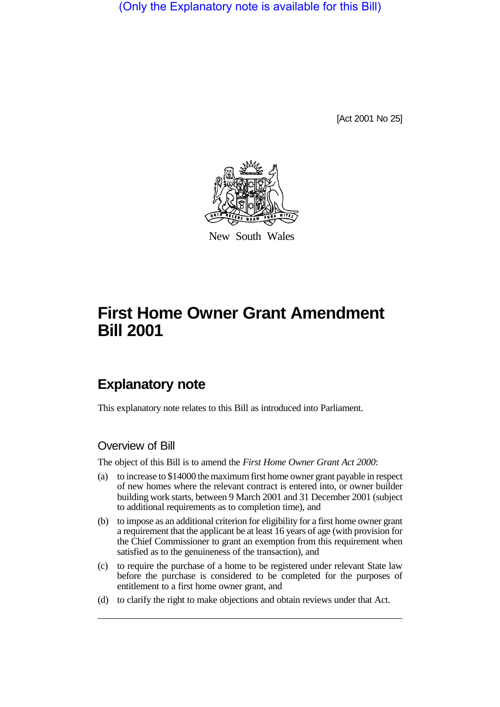(Only the Explanatory note is available for this Bill)

[Act 2001 No 25]



New South Wales

# **First Home Owner Grant Amendment Bill 2001**

# **Explanatory note**

This explanatory note relates to this Bill as introduced into Parliament.

### Overview of Bill

The object of this Bill is to amend the *First Home Owner Grant Act 2000*:

- (a) to increase to \$14000 the maximum first home owner grant payable in respect of new homes where the relevant contract is entered into, or owner builder building work starts, between 9 March 2001 and 31 December 2001 (subject to additional requirements as to completion time), and
- (b) to impose as an additional criterion for eligibility for a first home owner grant a requirement that the applicant be at least 16 years of age (with provision for the Chief Commissioner to grant an exemption from this requirement when satisfied as to the genuineness of the transaction), and
- (c) to require the purchase of a home to be registered under relevant State law before the purchase is considered to be completed for the purposes of entitlement to a first home owner grant, and
- (d) to clarify the right to make objections and obtain reviews under that Act.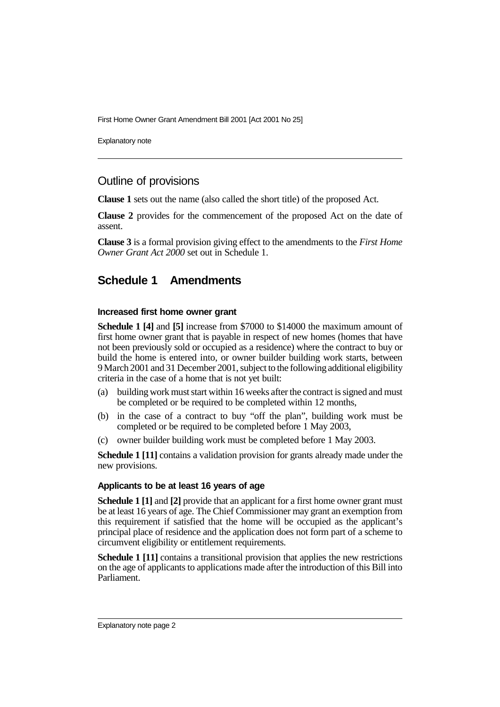First Home Owner Grant Amendment Bill 2001 [Act 2001 No 25]

Explanatory note

## Outline of provisions

**Clause 1** sets out the name (also called the short title) of the proposed Act.

**Clause 2** provides for the commencement of the proposed Act on the date of assent.

**Clause 3** is a formal provision giving effect to the amendments to the *First Home Owner Grant Act 2000* set out in Schedule 1.

# **Schedule 1 Amendments**

#### **Increased first home owner grant**

**Schedule 1 [4]** and **[5]** increase from \$7000 to \$14000 the maximum amount of first home owner grant that is payable in respect of new homes (homes that have not been previously sold or occupied as a residence) where the contract to buy or build the home is entered into, or owner builder building work starts, between 9 March 2001 and 31 December 2001, subject to the following additional eligibility criteria in the case of a home that is not yet built:

- (a) building work must start within 16 weeks after the contract is signed and must be completed or be required to be completed within 12 months,
- (b) in the case of a contract to buy "off the plan", building work must be completed or be required to be completed before 1 May 2003,
- (c) owner builder building work must be completed before 1 May 2003.

**Schedule 1 [11]** contains a validation provision for grants already made under the new provisions.

#### **Applicants to be at least 16 years of age**

**Schedule 1 [1]** and **[2]** provide that an applicant for a first home owner grant must be at least 16 years of age. The Chief Commissioner may grant an exemption from this requirement if satisfied that the home will be occupied as the applicant's principal place of residence and the application does not form part of a scheme to circumvent eligibility or entitlement requirements.

**Schedule 1 [11]** contains a transitional provision that applies the new restrictions on the age of applicants to applications made after the introduction of this Bill into Parliament.